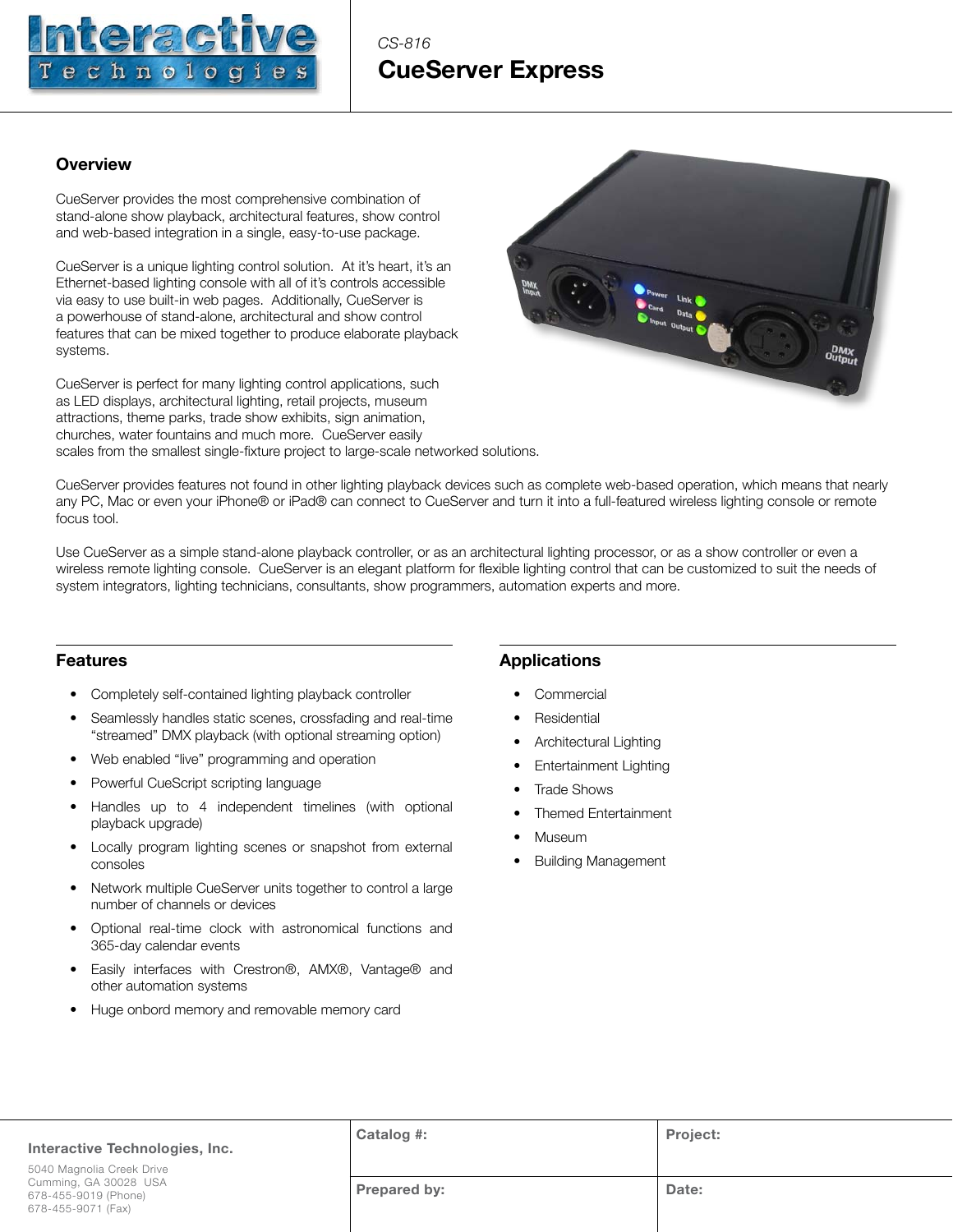

# *CS-816* **CueServer Express**

## **Overview**

CueServer provides the most comprehensive combination of stand-alone show playback, architectural features, show control and web-based integration in a single, easy-to-use package.

CueServer is a unique lighting control solution. At it's heart, it's an Ethernet-based lighting console with all of it's controls accessible via easy to use built-in web pages. Additionally, CueServer is a powerhouse of stand-alone, architectural and show control features that can be mixed together to produce elaborate playback systems.

CueServer is perfect for many lighting control applications, such as LED displays, architectural lighting, retail projects, museum attractions, theme parks, trade show exhibits, sign animation, churches, water fountains and much more. CueServer easily scales from the smallest single-fixture project to large-scale networked solutions.



CueServer provides features not found in other lighting playback devices such as complete web-based operation, which means that nearly any PC, Mac or even your iPhone® or iPad® can connect to CueServer and turn it into a full-featured wireless lighting console or remote focus tool.

Use CueServer as a simple stand-alone playback controller, or as an architectural lighting processor, or as a show controller or even a wireless remote lighting console. CueServer is an elegant platform for flexible lighting control that can be customized to suit the needs of system integrators, lighting technicians, consultants, show programmers, automation experts and more.

#### **Features**

- Completely self-contained lighting playback controller
- Seamlessly handles static scenes, crossfading and real-time "streamed" DMX playback (with optional streaming option)
- Web enabled "live" programming and operation
- Powerful CueScript scripting language
- Handles up to 4 independent timelines (with optional playback upgrade)
- Locally program lighting scenes or snapshot from external consoles
- Network multiple CueServer units together to control a large number of channels or devices
- Optional real-time clock with astronomical functions and 365-day calendar events
- Easily interfaces with Crestron®, AMX®, Vantage® and other automation systems
- Huge onbord memory and removable memory card

# **Applications**

- **Commercial**
- **Residential**
- Architectural Lighting
- Entertainment Lighting
- **Trade Shows**
- Themed Entertainment
- Museum
- Building Management

| Interactive Technologies, Inc.                                                                   | Catalog #:   | <b>Project:</b> |
|--------------------------------------------------------------------------------------------------|--------------|-----------------|
| 5040 Magnolia Creek Drive<br>Cumming, GA 30028 USA<br>678-455-9019 (Phone)<br>678-455-9071 (Fax) | Prepared by: | Date:           |